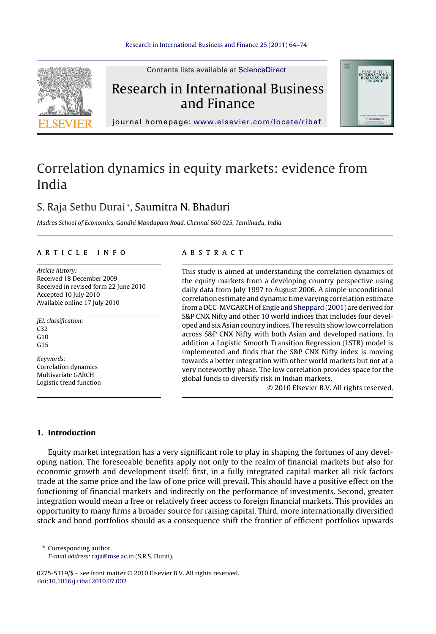

Contents lists available at [ScienceDirect](http://www.sciencedirect.com/science/journal/02755319)

## Research in International Business and Finance



journal homepage: [www.elsevier.com/locate/ribaf](http://www.elsevier.com/locate/ribaf)

# Correlation dynamics in equity markets: evidence from India

### S. Raja Sethu Durai <sup>∗</sup> , Saumitra N. Bhaduri

Madras School of Economics, Gandhi Mandapam Road, Chennai 600 025, Tamilnadu, India

#### article info

Article history: Received 18 December 2009 Received in revised form 22 June 2010 Accepted 10 July 2010 Available online 17 July 2010

JEL classification: C32 G<sub>10</sub>  $G15$ 

Keywords: Correlation dynamics Multivariate GARCH Logistic trend function

#### **ABSTRACT**

This study is aimed at understanding the correlation dynamics of the equity markets from a developing country perspective using daily data from July 1997 to August 2006. A simple unconditional correlation estimate and dynamic time varying correlation estimate from a DCC-MVGARCH of [Engle and Sheppard \(2001\)](#page--1-0) are derived for S&P CNX Nifty and other 10 world indices that includes four developed and six Asian country indices. The results show low correlation across S&P CNX Nifty with both Asian and developed nations. In addition a Logistic Smooth Transition Regression (LSTR) model is implemented and finds that the S&P CNX Nifty index is moving towards a better integration with other world markets but not at a very noteworthy phase. The low correlation provides space for the global funds to diversify risk in Indian markets.

© 2010 Elsevier B.V. All rights reserved.

#### **1. Introduction**

Equity market integration has a very significant role to play in shaping the fortunes of any developing nation. The foreseeable benefits apply not only to the realm of financial markets but also for economic growth and development itself: first, in a fully integrated capital market all risk factors trade at the same price and the law of one price will prevail. This should have a positive effect on the functioning of financial markets and indirectly on the performance of investments. Second, greater integration would mean a free or relatively freer access to foreign financial markets. This provides an opportunity to many firms a broader source for raising capital. Third, more internationally diversified stock and bond portfolios should as a consequence shift the frontier of efficient portfolios upwards

∗ Corresponding author.

E-mail address: [raja@mse.ac.in](mailto:raja@mse.ac.in) (S.R.S. Durai).

0275-5319/\$ – see front matter © 2010 Elsevier B.V. All rights reserved. doi[:10.1016/j.ribaf.2010.07.002](dx.doi.org/10.1016/j.ribaf.2010.07.002)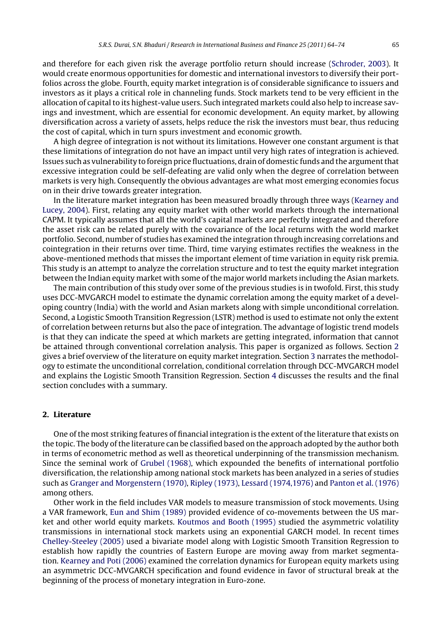and therefore for each given risk the average portfolio return should increase [\(Schroder, 2003\).](#page--1-0) It would create enormous opportunities for domestic and international investors to diversify their portfolios across the globe. Fourth, equity market integration is of considerable significance to issuers and investors as it plays a critical role in channeling funds. Stock markets tend to be very efficient in the allocation of capital to its highest-value users. Such integrated markets could also help to increase savings and investment, which are essential for economic development. An equity market, by allowing diversification across a variety of assets, helps reduce the risk the investors must bear, thus reducing the cost of capital, which in turn spurs investment and economic growth.

A high degree of integration is not without its limitations. However one constant argument is that these limitations of integration do not have an impact until very high rates of integration is achieved. Issues such as vulnerability to foreign price fluctuations, drain of domestic funds and the argument that excessive integration could be self-defeating are valid only when the degree of correlation between markets is very high. Consequently the obvious advantages are what most emerging economies focus on in their drive towards greater integration.

In the literature market integration has been measured broadly through three ways ([Kearney and](#page--1-0) [Lucey, 2004\).](#page--1-0) First, relating any equity market with other world markets through the international CAPM. It typically assumes that all the world's capital markets are perfectly integrated and therefore the asset risk can be related purely with the covariance of the local returns with the world market portfolio. Second, number of studies has examined the integration through increasing correlations and cointegration in their returns over time. Third, time varying estimates rectifies the weakness in the above-mentioned methods that misses the important element of time variation in equity risk premia. This study is an attempt to analyze the correlation structure and to test the equity market integration between the Indian equity market with some of the major world markets including the Asian markets.

The main contribution of this study over some of the previous studies is in twofold. First, this study uses DCC-MVGARCH model to estimate the dynamic correlation among the equity market of a developing country (India) with the world and Asian markets along with simple unconditional correlation. Second, a Logistic Smooth Transition Regression (LSTR) method is used to estimate not only the extent of correlation between returns but also the pace of integration. The advantage of logistic trend models is that they can indicate the speed at which markets are getting integrated, information that cannot be attained through conventional correlation analysis. This paper is organized as follows. Section 2 gives a brief overview of the literature on equity market integration. Section [3](#page--1-0) narrates the methodology to estimate the unconditional correlation, conditional correlation through DCC-MVGARCH model and explains the Logistic Smooth Transition Regression. Section [4](#page--1-0) discusses the results and the final section concludes with a summary.

#### **2. Literature**

One of the most striking features of financial integration is the extent of the literature that exists on the topic. The body of the literature can be classified based on the approach adopted by the author both in terms of econometric method as well as theoretical underpinning of the transmission mechanism. Since the seminal work of [Grubel \(1968\),](#page--1-0) which expounded the benefits of international portfolio diversification, the relationship among national stock markets has been analyzed in a series of studies such as [Granger and Morgenstern \(1970\),](#page--1-0) [Ripley \(1973\),](#page--1-0) [Lessard \(1974,1976\)](#page--1-0) and [Panton et al. \(1976\)](#page--1-0) among others.

Other work in the field includes VAR models to measure transmission of stock movements. Using a VAR framework, [Eun and Shim \(1989\)](#page--1-0) provided evidence of co-movements between the US market and other world equity markets. [Koutmos and Booth \(1995\)](#page--1-0) studied the asymmetric volatility transmissions in international stock markets using an exponential GARCH model. In recent times [Chelley-Steeley \(2005\)](#page--1-0) used a bivariate model along with Logistic Smooth Transition Regression to establish how rapidly the countries of Eastern Europe are moving away from market segmentation. [Kearney and Poti \(2006\)](#page--1-0) examined the correlation dynamics for European equity markets using an asymmetric DCC-MVGARCH specification and found evidence in favor of structural break at the beginning of the process of monetary integration in Euro-zone.